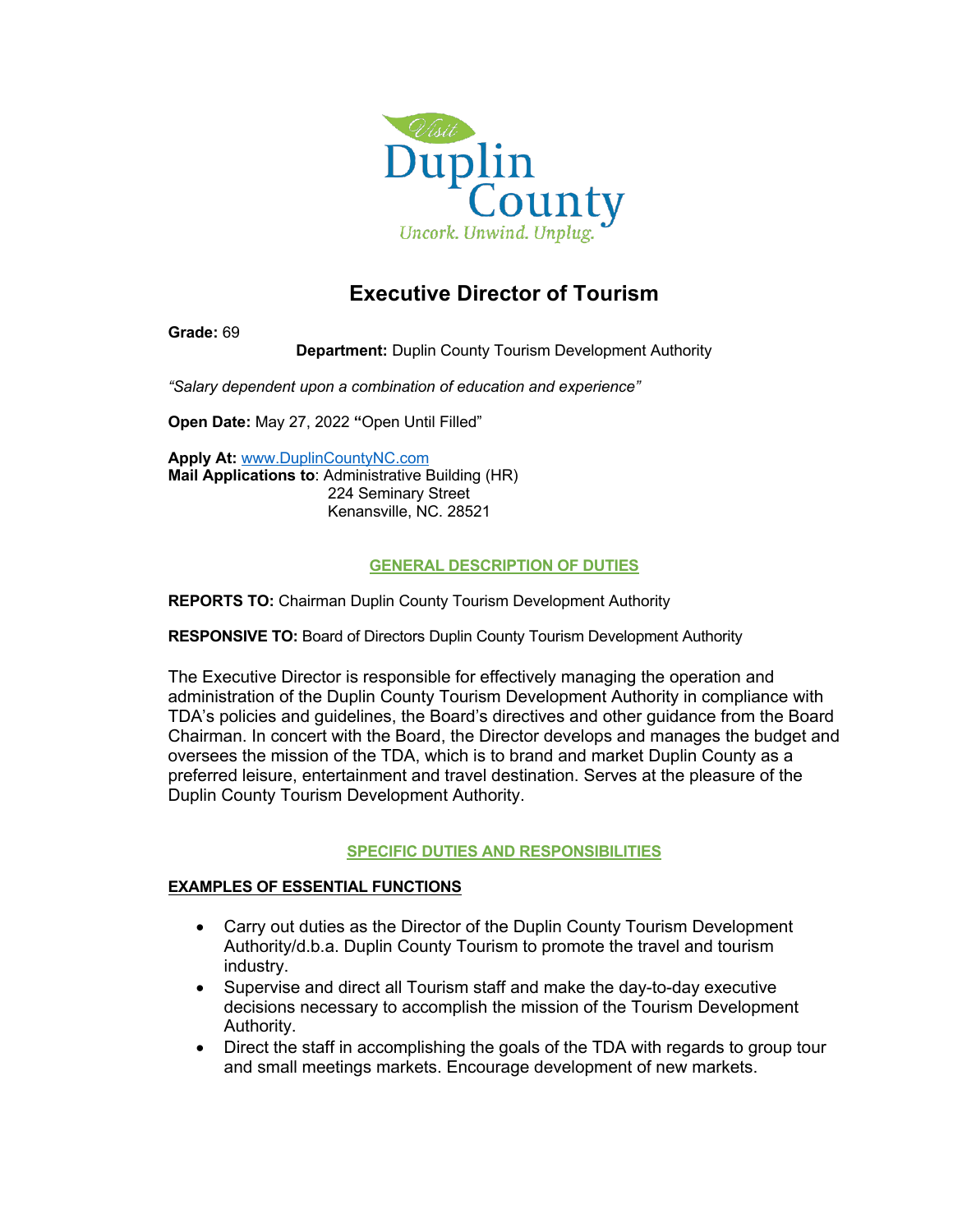

# **Executive Director of Tourism**

**Grade:** 69

**Department:** Duplin County Tourism Development Authority

*"Salary dependent upon a combination of education and experience"*

**Open Date:** May 27, 2022 **"**Open Until Filled"

**Apply At:** www.DuplinCountyNC.com **Mail Applications to**: Administrative Building (HR) 224 Seminary Street Kenansville, NC. 28521

## **GENERAL DESCRIPTION OF DUTIES**

**REPORTS TO:** Chairman Duplin County Tourism Development Authority

**RESPONSIVE TO:** Board of Directors Duplin County Tourism Development Authority

The Executive Director is responsible for effectively managing the operation and administration of the Duplin County Tourism Development Authority in compliance with TDA's policies and guidelines, the Board's directives and other guidance from the Board Chairman. In concert with the Board, the Director develops and manages the budget and oversees the mission of the TDA, which is to brand and market Duplin County as a preferred leisure, entertainment and travel destination. Serves at the pleasure of the Duplin County Tourism Development Authority.

## **SPECIFIC DUTIES AND RESPONSIBILITIES**

## **EXAMPLES OF ESSENTIAL FUNCTIONS**

- Carry out duties as the Director of the Duplin County Tourism Development Authority/d.b.a. Duplin County Tourism to promote the travel and tourism industry.
- Supervise and direct all Tourism staff and make the day-to-day executive decisions necessary to accomplish the mission of the Tourism Development Authority.
- Direct the staff in accomplishing the goals of the TDA with regards to group tour and small meetings markets. Encourage development of new markets.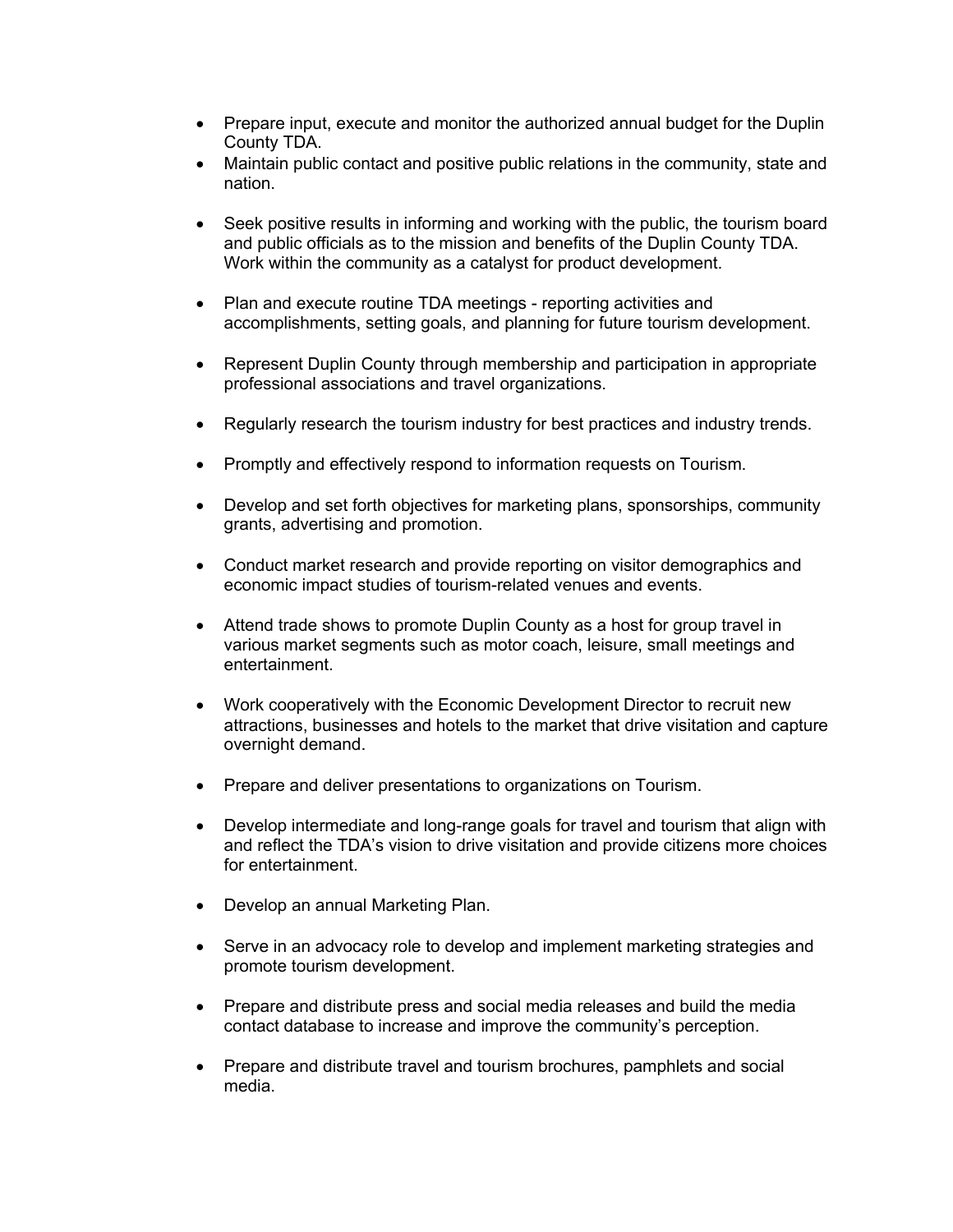- Prepare input, execute and monitor the authorized annual budget for the Duplin County TDA.
- Maintain public contact and positive public relations in the community, state and nation.
- Seek positive results in informing and working with the public, the tourism board and public officials as to the mission and benefits of the Duplin County TDA. Work within the community as a catalyst for product development.
- Plan and execute routine TDA meetings reporting activities and accomplishments, setting goals, and planning for future tourism development.
- Represent Duplin County through membership and participation in appropriate professional associations and travel organizations.
- Regularly research the tourism industry for best practices and industry trends.
- Promptly and effectively respond to information requests on Tourism.
- Develop and set forth objectives for marketing plans, sponsorships, community grants, advertising and promotion.
- Conduct market research and provide reporting on visitor demographics and economic impact studies of tourism-related venues and events.
- Attend trade shows to promote Duplin County as a host for group travel in various market segments such as motor coach, leisure, small meetings and entertainment.
- Work cooperatively with the Economic Development Director to recruit new attractions, businesses and hotels to the market that drive visitation and capture overnight demand.
- Prepare and deliver presentations to organizations on Tourism.
- Develop intermediate and long-range goals for travel and tourism that align with and reflect the TDA's vision to drive visitation and provide citizens more choices for entertainment.
- Develop an annual Marketing Plan.
- Serve in an advocacy role to develop and implement marketing strategies and promote tourism development.
- Prepare and distribute press and social media releases and build the media contact database to increase and improve the community's perception.
- Prepare and distribute travel and tourism brochures, pamphlets and social media.